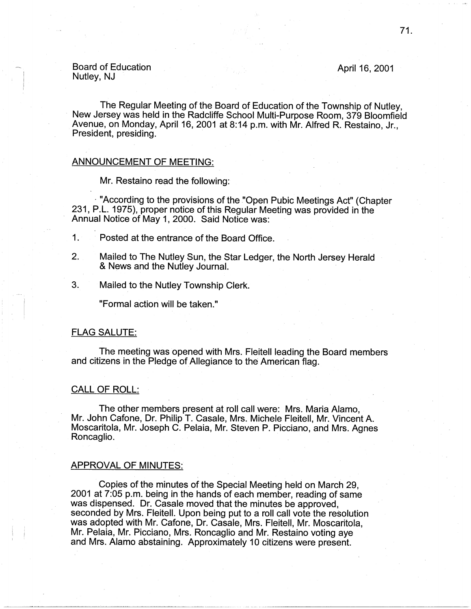# Board of Education<br>Nutley, NJ Board of Education April 16, 2001<br>Nutley, NJ

The Regular Meeting of the Board of Education of the Township of Nutley, New Jersey was held in the Radcliffe School Multi-Purpose Room, 379 Bloomfield Avenue, on Monday, April 16, 2001 at 8:14 p.m. with Mr. Alfred R. Restaino, Jr., President, presiding.

# ANNOUNCEMENT OF MEETING:

Mr. Restaino read the following:

 $\cdot$  "According to the provisions of the "Open Pubic Meetings Act" (Chapter 231, P.L. 1975), proper notice of this Regular Meeting was provided in the Annual Notice of May 1, 2000. Said Notice was:

- 1. Posted at the entrance of the Board Office.
- 2. Mailed to The Nutley Sun, the Star Ledger, the North Jersey Herald & News and the Nutley Journal.
- 3. Mailed to the Nutley Township Clerk.

"Formal action will be taken."

### FLAG SALUTE:

The meeting was opened with Mrs. Fleitell leading the Board members and citizens in the Pledge of Allegiance to the American flag.

# CALL OF ROLL:

The other members present at roll call were: Mrs. Maria Alamo, Mr. John Cafone, Dr. Philip T. Casale, Mrs. Michele Fleitell, Mr. Vincent A. Moscaritola, Mr. Joseph C. Pelaia, Mr. Steven P. Picciano, and Mrs. Agnes Roncaglio.

#### APPROVAL OF MINUTES:

Copies of the minutes of the Special Meeting held on March 29, 2001 at 7:05 p.m. being in the hands of each member, reading of same was dispensed. Dr. Casale moved that the minutes be approved, seconded by Mrs. Fleitell. Upon being put to a roll call vote the resolution was adopted with Mr. Cafone, Dr. Casale, Mrs. Fleitell, Mr. Moscaritola, Mr. Pelaia, Mr. Picciano, Mrs. Roncaglio and Mr. Restaino voting aye and Mrs. Alamo abstaining. Approximately 10 citizens were present.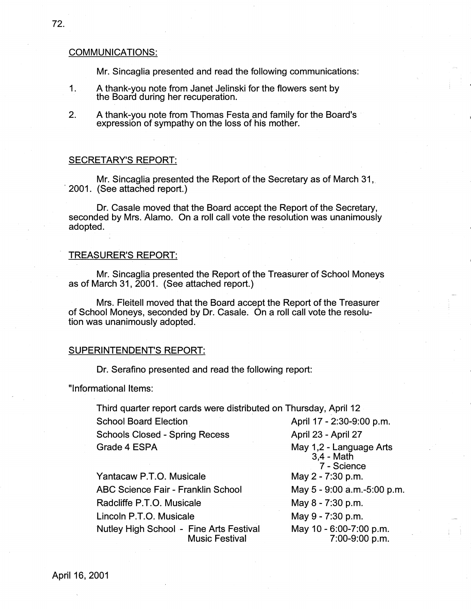# COMMUNICATIONS:

Mr. Sincaglia presented and read the following communications:

- 1. A thank-you note from Janet Jelinski for the flowers sent by the Board during her recuperation.
- 2. A thank-you note from Thomas Festa and family for the Board's expression of sympathy on the loss of his mother.

#### SECRETARY'S REPORT:

Mr. Sincaglia presented the Report of the Secretary as of March 31, 2001. (See attached report.)

Dr. Casale moved that the Board accept the Report of the Secretary, seconded by Mrs. Alamo. On a roll call vote the resolution was unanimously adopted.

#### TREASURER'S REPORT:

Mr. Sincaglia presented the Report of the Treasurer of School Moneys as of March 31, 2001. (See attached report.)

Mrs. Fleitell moved that the Board accept the Report of the Treasurer of School Moneys, seconded by Dr. Casale. On a roll call vote the resolution was unanimously adopted.

#### SUPERINTENDENT'S REPORT:

Dr. Serafino presented and read the following report:

"Informational Items:

Third quarter report cards were distributed on Thursday, April 12 School Board Election **April 17 - 2:30-9:00 p.m.** Schools Closed - Spring Recess Grade 4 ESPA April 23 - April 27

Yantacaw P.T.O. Musicale ABC Science Fair - Franklin School Radcliffe P.T.O. Musicale Lincoln P.T.O. Musicale Nutley High School - Fine Arts Festival Music Festival

May 1,2 - Language Arts 3,4 - Math 7 - Science May 2 - 7:30 p.m. May 5 - 9:00 a.m.-5:00 p.m. May 8 - 7:30 p.m. May 9 - 7:30 p.m. May 10 - 6:00-7:00 p.m. 7:00-9:00 p.m.

 $\blacksquare$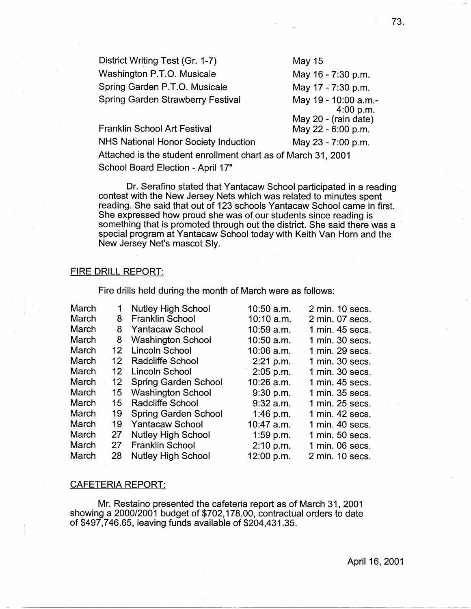District Writing Test (Gr. 1-7) Washington P.T.O. Musicale Spring Garden P.T.O. Musicale Spring Garden Strawberry Festival May 15 May 16 - 7:30 p.m. May 17 - 7:30 p.m. May 19 - 10:00 a.m.- 4:00 p.m. May 20 - (rain date) May 22 - 6:00 p.m.

NHS National Honor Society Induction May 23 - 7:00 p.m. Attached is the student enrollment chart as of March 31, 2001

School Board Election - April 17"

Franklin School Art Festival

Dr. Serafino stated that Yantacaw School participated in a reading contest with the New Jersey Nets which was related to minutes spent reading. She said that out of 123 schools Yantacaw School came in first. She expressed how proud she was of our students since reading is something that is promoted through out the district. She said there was a special program at Yantacaw School today with Keith Van Horn and the New Jersey Net's mascot Sly.

# FIRE DRILL REPORT:

Fire drills held during the month of March were as follows:

| March        | 1               | <b>Nutley High School</b>   | 10:50 a.m.   | 2 min. 10 secs. |
|--------------|-----------------|-----------------------------|--------------|-----------------|
| March        | 8               | <b>Franklin School</b>      | $10:10$ a.m. | 2 min. 07 secs. |
| March        | 8               | <b>Yantacaw School</b>      | 10:59 a.m.   | 1 min. 45 secs. |
| March        | 8               | <b>Washington School</b>    | 10:50 a.m.   | 1 min. 30 secs. |
| March        | 12 <sub>2</sub> | Lincoln School              | $10:06$ a.m. | 1 min. 29 secs. |
| <b>March</b> | 12 <sup>°</sup> | Radcliffe School            | 2:21 p.m.    | 1 min. 30 secs. |
| March        | 12              | Lincoln School              | $2:05$ p.m.  | 1 min. 30 secs. |
| March        | 12              | <b>Spring Garden School</b> | $10:26$ a.m. | 1 min. 45 secs. |
| March        | 15              | <b>Washington School</b>    | 9:30 p.m.    | 1 min. 35 secs. |
| March        | 15              | <b>Radcliffe School</b>     | $9:32$ a.m.  | 1 min. 25 secs. |
| March        | 19              | <b>Spring Garden School</b> | 1:46 p.m.    | 1 min. 42 secs. |
| March        | 19              | <b>Yantacaw School</b>      | 10:47 a.m.   | 1 min. 40 secs. |
| March        | 27              | <b>Nutley High School</b>   | $1:59$ p.m.  | 1 min. 50 secs. |
| March        | 27              | <b>Franklin School</b>      | 2:10 p.m.    | 1 min. 06 secs. |
| March        | 28              | <b>Nutley High School</b>   | 12:00 p.m.   | 2 min. 10 secs. |

### CAFETERIA REPORT:

Mr. Restaino presented the cafeteria report as of March 31, 2001 showing a 2000/2001 budget of \$702,178.00, contractual orders to date of \$497,746.65, leaving funds available of \$204,431.35.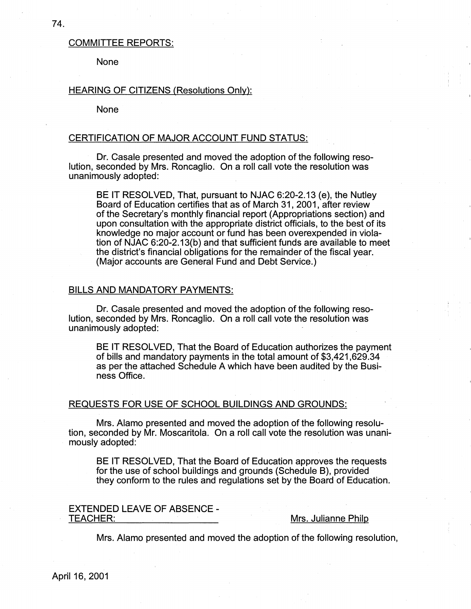# COMMITTEE REPORTS:

None

# HEARING OF CITIZENS (Resolutions Only):

None

### CERTIFICATION OF MAJOR ACCOUNT FUND STATUS:

Dr. Casale presented and moved the adoption of the following resolution, seconded by Mrs. Roncaglio. On a roll call vote the resolution was unanimously adopted:

BE IT RESOLVED, That, pursuant to **NJAC** 6:20-2.13 (e), the Nutley Board of Education certifies that as of March 31, 2001, after review of the Secretary's monthly financial report (Appropriations section) and upon consultation with the appropriate district officials, to the best of its knowledge no major account or fund has been overexpended in violation of NJAC 6:20-2.13(b) and that sufficient funds are available to meet the district's financial obligations for the remainder of the fiscal year. (Major accounts are General Fund and Debt Service.)

# BILLS AND MANDATORY PAYMENTS:

Dr. Casale presented and moved the adoption of the following resolution, seconded by Mrs. Roncaglio. On a roll call vote the resolution was unanimously adopted:

BE IT RESOLVED, That the Board of Education authorizes the payment of bills and mandatory payments in the total amount of \$3,421,629.34 as per the attached Schedule A which have been audited by the Business Office.

# REQUESTS FOR USE OF SCHOOL BUILDINGS AND GROUNDS:

Mrs. Alamo presented and moved the adoption of the following·resolution, seconded by Mr. Moscaritola. On a roll call vote the resolution was unanimously adopted:

BE IT RESOLVED, That the Board of Education approves the requests for the use of school buildings and grounds (Schedule 8), provided they conform to the rules and regulations set by the Board of Education.

# EXTENDED LEAVE OF ABSENCE -<br>TEACHER: \_\_\_\_\_\_\_\_\_\_\_\_\_\_\_\_\_\_\_\_\_\_

# Mrs. Julianne Philp

Mrs. Alamo presented and moved the adoption of the following resolution,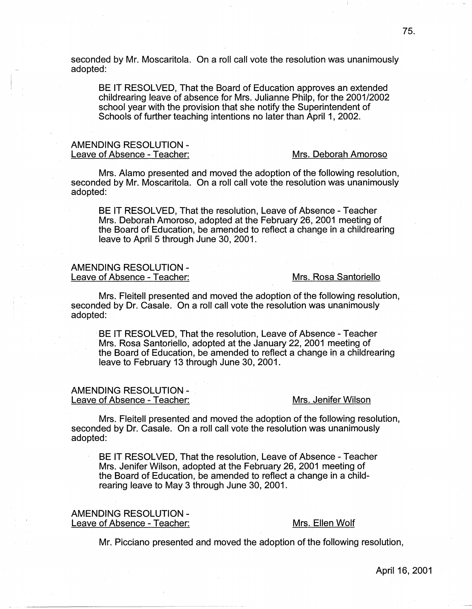seconded by Mr. Moscaritola. On a roll call vote the resolution was unanimously adopted:

BE IT RESOLVED, That the Board of Education approves an extended childrearing leave of absence for Mrs. Julianne Philp, for the 2001/2002 school year with the provision that she notify the Superintendent of Schools of further teaching intentions no later than April 1, 2002.

# **AMENDING RESOLUTION** - Leave of Absence - Teacher: Mrs. Deborah Amoroso

Mrs. Alamo presented and moved the adoption of the following resolution, seconded by Mr. Moscaritola. On a roll call vote the resolution was unanimously adopted:

BE IT RESOLVED, That the resolution, Leave of Absence - Teacher Mrs. Deborah Amoroso, adopted at the February 26, 2001 meeting of the Board of Education, be amended to reflect a change in a childrearing leave to April 5 through June 30, 2001.

# AMENDING RESOLUTION - Leave of Absence - Teacher: Mrs. Rosa Santoriello

Mrs. Fleitell presented and moved the adoption of the following resolution, seconded by Dr. Casale. On a roll call vote the resolution was unanimously adopted:

BE IT RESOLVED, That the resolution, Leave of Absence - Teacher Mrs. Rosa Santoriello, adopted at the January 22, 2001 meeting of the Board of Education, be amended to reflect a change in a childrearing leave to February 13 through June 30, 2001.

# AMENDING RESOLUTION-

#### Leave of Absence - Teacher: Mrs. Jenifer Wilson

Mrs. Fleitell presented and moved the adoption of the following resolution, seconded by Dr. Casale. On a roll call vote the resolution was unanimously adopted:

BE IT RESOLVED, That the resolution, Leave of Absence - Teacher Mrs. Jenifer Wilson, adopted at the February 26, 2001 meeting of the Board of Education, be amended to reflect a change in a childrearing leave to May 3 through June 30, 2001.

### AMENDING RESOLUTION - Leave of Absence - Teacher: Mrs. Ellen Wolf

Mr. Picciano presented and moved the adoption of the following resolution,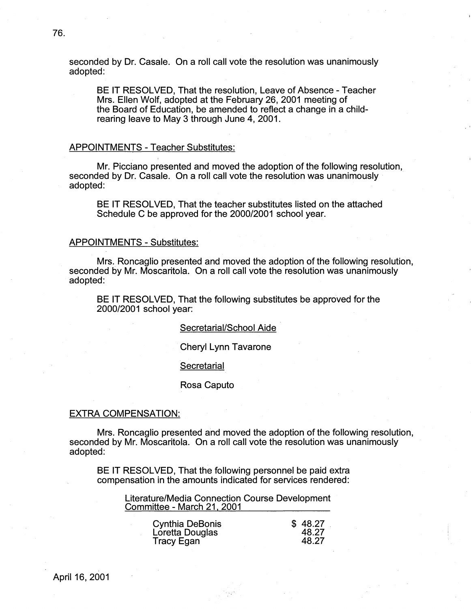seconded by Dr. Casale. On a roll call vote the resolution was unanimously adopted:

BE IT RESOLVED, That the resolution, Leave of Absence -Teacher Mrs. Ellen Wolf, adopted at the February 26, 2001 meeting of the Board of Education, be amended to reflect a change in a childrearing leave to May 3 through June 4, 2001.

# APPOINTMENTS - Teacher Substitutes:

Mr. Picciano presented and moved the adoption of the following resolution, seconded by Dr. Casale. On a roll call vote the resolution was unanimously adopted:

BE IT RESOLVED, That the teacher substitutes listed on the attached Schedule C be approved for the 2000/2001 school year.

### APPOINTMENTS - Substitutes:

Mrs. Roncaglio presented and moved the adoption of the following resolution, seconded by Mr. Moscaritola. On a roll call vote the resolution was unanimously adopted:

BE IT RESOLVED, That the following substitutes be approved for the 2000/2001 school year:

#### Secretarial/School Aide

Cheryl Lynn Tavarone

#### **Secretarial**

#### Rosa Caputo

#### EXTRA COMPENSATION:

Mrs. Roncaglio presented and moved the adoption of the following resolution, seconded by Mr. Moscaritola. On a roll call vote the resolution was unanimously adopted:

BE IT RESOLVED, That the following personnel be paid extra compensation in the amounts indicated for services rendered:

> Literature/Media Connection Course Development Committee - March 21, 2001

| <b>Cynthia DeBonis</b> | \$48.27 |
|------------------------|---------|
| Loretta Douglas        | 48.27   |
| <b>Tracy Egan</b>      | 48.27   |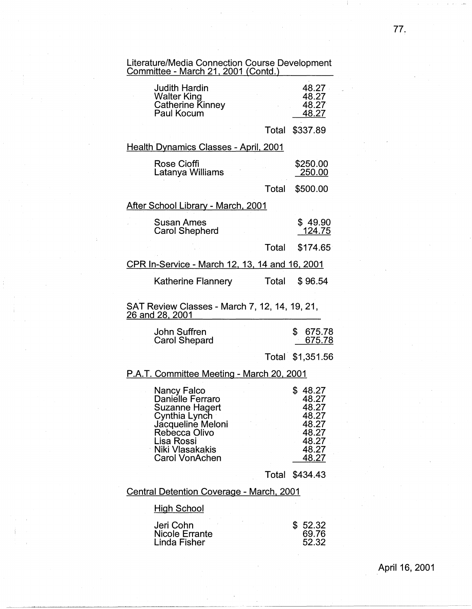| Literature/Media Connection Course Development<br>Committee - March 21, 2001 (Contd.)                                                                                     |       |                                                                                 |
|---------------------------------------------------------------------------------------------------------------------------------------------------------------------------|-------|---------------------------------------------------------------------------------|
| <b>Judith Hardin</b><br>Walter King<br><b>Catherine Kinney</b><br>Paul Kocum                                                                                              |       | 48.27<br>48.27<br>48.27<br>48.27                                                |
|                                                                                                                                                                           |       | Total \$337.89                                                                  |
| <u> Health Dynamics Classes - April, 2001</u>                                                                                                                             |       |                                                                                 |
| <b>Rose Cioffi</b><br>Latanya Williams                                                                                                                                    |       | \$250.00<br>250.00                                                              |
|                                                                                                                                                                           | Total | \$500.00                                                                        |
| After School Library - March, 2001                                                                                                                                        |       |                                                                                 |
| Susan Ames<br><b>Carol Shepherd</b>                                                                                                                                       |       | \$49.90<br>124.75                                                               |
|                                                                                                                                                                           | Total | \$174.65                                                                        |
| CPR In-Service - March 12, 13, 14 and 16, 2001                                                                                                                            |       |                                                                                 |
| <b>Katherine Flannery</b>                                                                                                                                                 | Total | \$96.54                                                                         |
| SAT Review Classes - March 7, 12, 14, 19, 21,<br><u>26 and 28, 2001</u>                                                                                                   |       |                                                                                 |
| John Suffren<br><b>Carol Shepard</b>                                                                                                                                      |       | \$<br>675.78<br>675.78                                                          |
|                                                                                                                                                                           |       | Total \$1,351.56                                                                |
| P.A.T. Committee Meeting - March 20, 2001                                                                                                                                 |       |                                                                                 |
| <b>Nancy Falco</b><br>Danielle Ferraro<br>Suzanne Hagert<br>Cynthia Lynch<br>Jacqueline Meloni<br>Rebecca Olivo<br>Lisa Rossi<br>Niki Vlasakakis<br><b>Carol VonAchen</b> |       | \$48.27<br>48.27<br>48.27<br>48.27<br>48.27<br>48.27<br>48.27<br>48.27<br>48.27 |
|                                                                                                                                                                           |       | Total \$434.43                                                                  |
| <u>Central Detention Coverage - March, 2001</u>                                                                                                                           |       |                                                                                 |
| <u> High School</u>                                                                                                                                                       |       |                                                                                 |
| Jeri Cohn<br>Nicole Errante<br>Linda Fisher                                                                                                                               |       | \$<br>52.32<br>69.76<br>52.32                                                   |

# 77.

April 16, 2001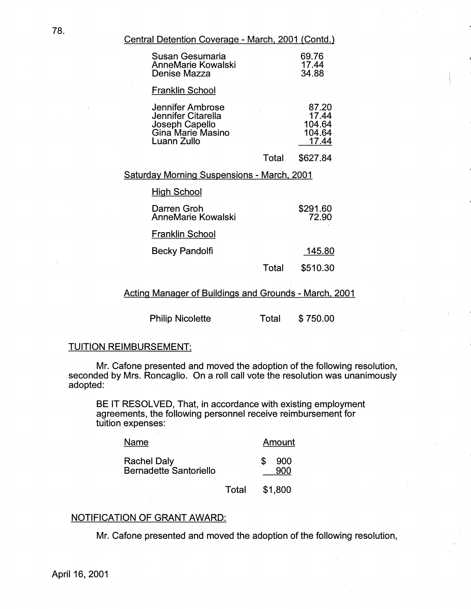Central Detention Coverage - March, 2001 (Contd.)

| Susan Gesumaria<br><b>AnneMarie Kowalski</b><br>Denise Mazza                                 |       | 69.76<br>17.44<br>34.88                     |
|----------------------------------------------------------------------------------------------|-------|---------------------------------------------|
| Franklin School                                                                              |       |                                             |
| Jennifer Ambrose<br>Jennifer Citarella<br>Joseph Capello<br>Gina Marie Masino<br>Luann Zullo |       | 87.20<br>17.44<br>104.64<br>104.64<br>17.44 |
|                                                                                              | Total | \$627.84                                    |
| Saturday Morning Suspensions - March, 2001                                                   |       |                                             |
| <b>High School</b>                                                                           |       |                                             |
| Darren Groh<br><b>AnneMarie Kowalski</b>                                                     |       | \$291.60<br>72.90                           |
| Franklin School                                                                              |       |                                             |
| Becky Pandolfi                                                                               |       | 145.80                                      |

Total

\$510.30

Acting Manager of Buildings and Grounds - March. 2001

Philip Nicolette Total \$750.00

# TUITION REIMBURSEMENT:

Mr. Cafone presented and moved the adoption of the following resolution, seconded by Mrs. Roncaglio. On a roll call vote the resolution was unanimously adopted:

BE IT RESOLVED, That, in accordance with existing employment agreements, the following personnel receive reimbursement for tuition expenses:

| Name                          | Amount |
|-------------------------------|--------|
| <b>Rachel Daly</b>            | -900   |
| <b>Bernadette Santoriello</b> | 900    |

Total \$1,800

# NOTIFICATION OF GRANT AWARD:

Mr. Cafone presented and moved the adoption of the following resolution,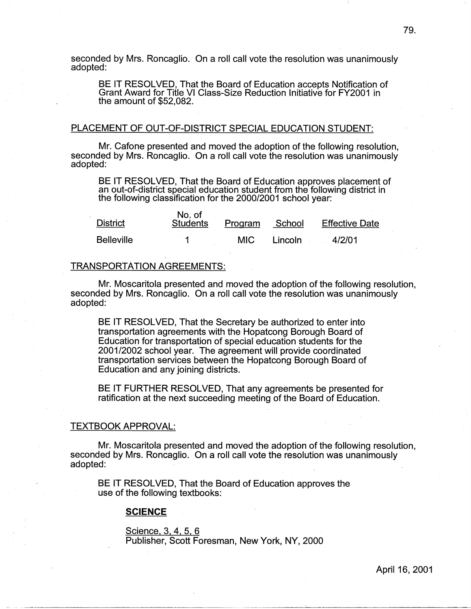seconded by Mrs. Roncaglio. On a roll call vote the resolution was unanimously adopted:

BE IT RESOLVED, That the Board of Education accepts Notification of Grant Award for Title VI Class-Size Reduction Initiative for FY2001 in the amount of \$52,082.

# PLACEMENT OF OUT-OF-DISTRICT SPECIAL EDUCATION STUDENT:

Mr. Cafone presented and moved the adoption of the following resolution, seconded by Mrs. Roncaglio. On a roll call vote the resolution was unanimously adopted:

BE IT RESOLVED, That the Board of Education approves placement of an out-of-district special education student from the following district in the following classification for the 2000/2001 school year:

| <b>District</b>   | No. of<br><b>Students</b> | Program    | School  | <b>Effective Date</b> |
|-------------------|---------------------------|------------|---------|-----------------------|
| <b>Belleville</b> |                           | <b>MIC</b> | Lincoln | 4/2/01                |

#### TRANSPORTATION AGREEMENTS:

Mr. Moscaritola presented and moved the adoption of the following resolution, seconded by Mrs. Roncaglio. On a roll call vote the resolution was unanimously adopted:

BE IT RESOLVED, That the Secretary be authorized to enter into transportation agreements with the Hopatcong Borough Board of Education for transportation of special education students for the 2001/2002 school year. The agreement will provide coordinated transportation services between the Hopatcong Borough Board of Education and any joining districts.

BE IT FURTHER RESOLVED, That any agreements be presented for ratification at the next succeeding meeting of the Board of Education.

#### TEXTBOOK APPROVAL:

Mr. Moscaritola presented and moved the adoption of the following resolution, seconded by Mrs. Roncaglio. On a roll call vote the resolution was unanimously adopted:

BE IT RESOLVED, That the Board of Education approves the use of the following textbooks:

# **SCIENCE**

Science, 3, 4, 5, 6 Publisher, Scott Foresman, New York, NY, 2000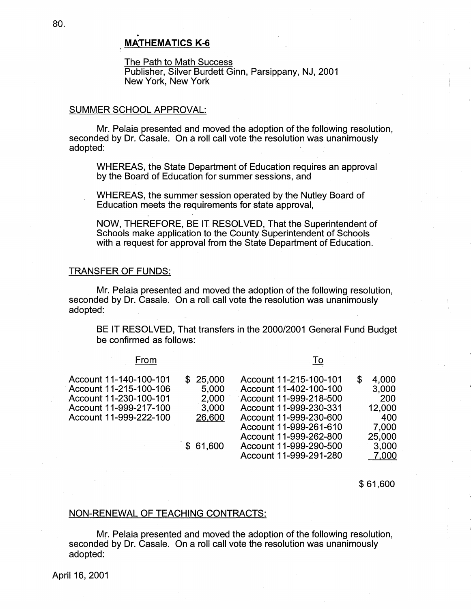# **MATHEMATICS K-6**

The Path to Math Success Publisher, Silver Burdett Ginn, Parsippany, NJ, 2001 New York, New York

# SUMMER SCHOOL APPROVAL:

Mr. Pelaia presented and moved the adoption of the following resolution, seconded by Dr. Casale. On a roll call vote the resolution was unanimously adopted:

WHEREAS, the State Department of Education requires an approval by the Board of Education for summer sessions, and

WHEREAS, the summer session operated by the Nutley Board of Education meets the requirements for state approval,

NOW, THEREFORE, BE IT RESOLVED, That the Superintendent of Schools make application to the County Superintendent of Schools with a request for approval from the State Department of Education.

# TRANSFER OF FUNDS:

Mr. Pelaia presented and moved the adoption of the following resolution, seconded by Dr. Casale. On a roll call vote the resolution was unanimously adopted:\_

BE IT RESOLVED, That transfers in the 2000/2001 General Fund Budget be confirmed as follows:

# From

To

| Account 11-140-100-101<br>Account 11-215-100-106<br>Account 11-230-100-101<br>Account 11-999-217-100 | \$25.000<br>5,000<br>2.000<br>3,000 | Account 11-215-100-101<br>Account 11-402-100-100<br>Account 11-999-218-500<br>Account 11-999-230-331                           | 4,000<br>S<br>3,000<br><b>200</b><br>12,000 |
|------------------------------------------------------------------------------------------------------|-------------------------------------|--------------------------------------------------------------------------------------------------------------------------------|---------------------------------------------|
| Account 11-999-222-100                                                                               | 26,600<br>\$61,600                  | Account 11-999-230-600<br>Account 11-999-261-610<br>Account 11-999-262-800<br>Account 11-999-290-500<br>Account 11-999-291-280 | 400<br>7,000<br>25,000<br>3,000<br>7,000    |

\$ 61,600

# NON-RENEWAL OF TEACHING CONTRACTS:

Mr. Pelaia presented and moved the adoption of the following resolution, seconded by Dr. Casale. On a roll call vote the resolution was unanimously adopted: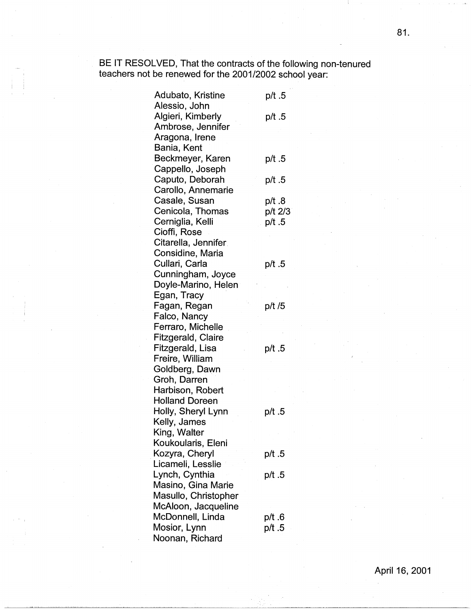BE IT RESOLVED, That the contracts of the following non-tenured teachers not be renewed for the 2001/2002 school year:

I )

| Adubato, Kristine     | 5. p/t  |
|-----------------------|---------|
| Alessio, John         |         |
| Algieri, Kimberly     | 5. p/t  |
| Ambrose, Jennifer     |         |
| Aragona, Irene        |         |
| Bania, Kent           |         |
| Beckmeyer, Karen      | 5. p/t  |
| Cappello, Joseph      |         |
| Caputo, Deborah       | 5. p/t  |
| Carollo, Annemarie    |         |
| Casale, Susan         | 8. p/t  |
| Cenicola, Thomas      | p/t 2/3 |
| Cerniglia, Kelli      | 5. p/t  |
| Cioffi, Rose          |         |
| Citarella, Jennifer   |         |
| Considine, Maria      |         |
| Cullari, Carla        | p/t .5  |
| Cunningham, Joyce     |         |
| Doyle-Marino, Helen   |         |
| Egan, Tracy           |         |
| Fagan, Regan          | p/t /5  |
| Falco, Nancy          |         |
| Ferraro, Michelle     |         |
| Fitzgerald, Claire    |         |
| Fitzgerald, Lisa      | 5. p/t  |
| Freire, William       |         |
| Goldberg, Dawn        |         |
| Groh, Darren          |         |
| Harbison, Robert      |         |
| <b>Holland Doreen</b> |         |
| Holly, Sheryl Lynn    | 5. p/t  |
| Kelly, James          |         |
| King, Walter          |         |
| Koukoularis, Eleni    |         |
| Kozyra, Cheryl        | p/t .5  |
| Licameli, Lesslie     |         |
| Lynch, Cynthia        | p/t .5  |
| Masino, Gina Marie    |         |
| Masullo, Christopher  |         |
| McAloon, Jacqueline   |         |
| McDonnell, Linda      | 6. p/t  |
| Mosior, Lynn          | p/t .5  |
| Noonan, Richard       |         |

81.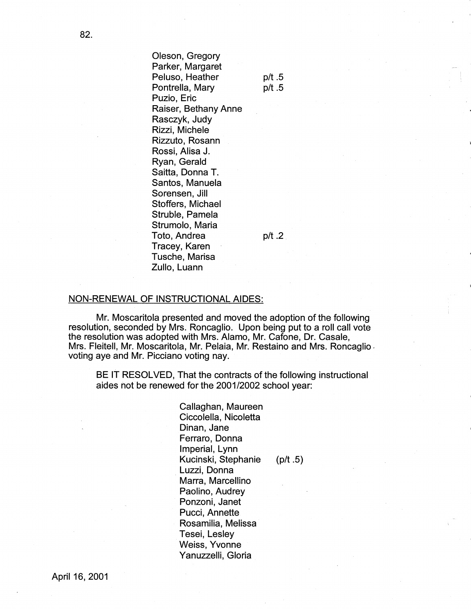Oleson, Gregory Parker, Margaret Peluso, Heather Pontrella, Mary Puzio, Eric Raiser, Bethany Anne Rasczyk, Judy Rizzi, Michele Rizzuto, Rosann Rossi, Alisa J. Ryan, Gerald Saitta, Donna T. Santos, Manuela Sorensen, Jill Stoffers, Michael Struble, Pamela Strumolo, Maria Toto, Andrea Tracey, Karen Tusche, Marisa Zullo, Luann

p/t .2.

p/t .5 p/t .5

# NON-RENEWAL OF INSTRUCTIONAL AIDES:

Mr. Moscaritola presented and moved the adoption of the following resolution, seconded by Mrs. Roncaglio. Upon being put to a roll call vote the resolution was adopted with Mrs. Alamo, Mr. Cafone, Dr. Casale, Mrs. Fleitell, Mr. Moscaritola, Mr. Pelaia, Mr. Restaino and Mrs. Roncaglio. voting aye and Mr. Picciano voting nay.

BE IT RESOLVED, That the contracts of the following instructional aides not be renewed for the 2001/2002 school year:

> Callaghan, Maureen Ciccolella, Nicoletta Dinan, Jane Ferraro, Donna Imperial, Lynn Kucinski, Stephanie (p/t .5) Luzzi, Donna Marra, Marcellino Paolino, Audrey Ponzoni, Janet Pucci, Annette Rosamilia, Melissa Tesei, Lesley Weiss, Yvonne Yanuzzelli, Gloria

82.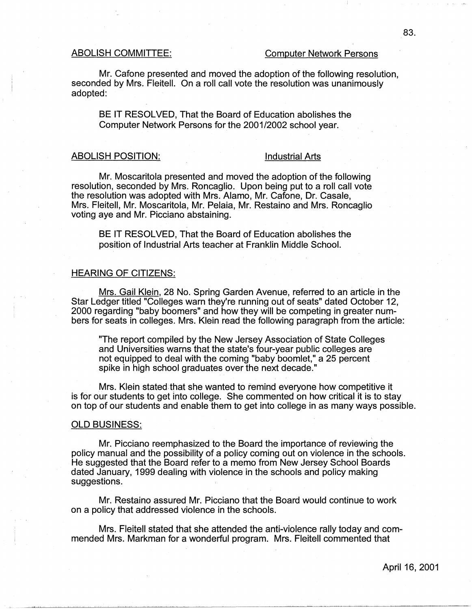#### ABOLISH COMMITTEE: Computer Network Persons

Mr. Cafone presented and moved the adoption of the following resolution, seconded by Mrs. Fleitell. On a roll call vote the resolution was unanimously adopted:

BE IT RESOLVED, That the Board of Education abolishes the Computer Network Persons for the 2001/2002 school year.

#### ABOLISH POSITION: Industrial Arts

Mr. Moscaritola presented and moved the adoption of the following resolution, seconded by Mrs. Roncaglio. Upon being put to a roll call vote the resolution was adopted with Mrs. Alamo, Mr. Cafone, Dr. Casale, Mrs. Fleitell, Mr. Moscaritola, Mr. Pelaia, Mr. Restaino and Mrs. Roncaglio voting aye and Mr. Picciano abstaining.

BE IT RESOLVED, That the Board of Education abolishes the position of Industrial Arts teacher at Franklin Middle School.

# HEARING OF CITIZENS:

Mrs. Gail Klein, 28 No. Spring Garden Avenue, referred to an article in the Star Ledger titled "Colleges warn they're running out of seats" dated October 12, 2000 regarding "baby boomers" and how they will be competing in greater numbers for seats in colleges. Mrs. Klein read the following paragraph from the article:

"The report compiled by the New Jersey Association of State Colleges and Universities warns that the state's four-year public colleges are not equipped to deal with the coming "baby boomlet," a 25 percent spike in high school graduates over the next decade."

Mrs. Klein stated that she wanted to remind everyone how competitive it is for our students to get into college. She commented on how critical it is to stay on top of our students and enable them to get into college in as many ways possible.

#### OLD BUSINESS:

Mr. Picciano reemphasized to the Board the importance of reviewing the policy manual and the possibility of a policy coming out on violence in the schools. He suggested that the Board refer to a memo from New Jersey School Boards dated January, 1999 dealing with violence in the schools and policy making suggestions.

Mr. Restaino assured Mr. Picciano that the Board would continue to work on a policy that addressed violence in the schools.

Mrs. Fleitell stated that she attended the anti-violence rally today and commended Mrs. Markman for a wonderful program. Mrs. Fleitell commented that